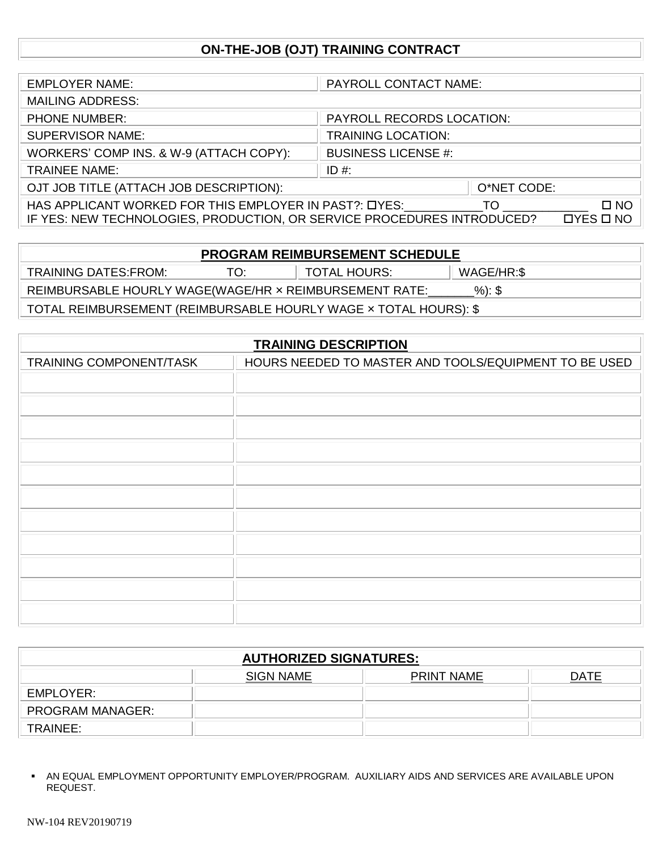# **ON-THE-JOB (OJT) TRAINING CONTRACT**

| <b>EMPLOYER NAME:</b>                                                   | PAYROLL CONTACT NAME:      |
|-------------------------------------------------------------------------|----------------------------|
| <b>MAILING ADDRESS:</b>                                                 |                            |
| <b>PHONE NUMBER:</b>                                                    | PAYROLL RECORDS LOCATION:  |
| <b>SUPERVISOR NAME:</b>                                                 | <b>TRAINING LOCATION:</b>  |
| WORKERS' COMP INS. & W-9 (ATTACH COPY):                                 | <b>BUSINESS LICENSE #:</b> |
| <b>TRAINEE NAME:</b>                                                    | ID #:                      |
| OJT JOB TITLE (ATTACH JOB DESCRIPTION):                                 | O*NET CODE:                |
| HAS APPLICANT WORKED FOR THIS EMPLOYER IN PAST?: DYES:                  | TO.<br>$\square$ NO        |
| IF YES: NEW TECHNOLOGIES, PRODUCTION, OR SERVICE PROCEDURES INTRODUCED? | $DYES$ $D$ NO              |

| <b>PROGRAM REIMBURSEMENT SCHEDULE</b>                              |     |                     |            |  |  |
|--------------------------------------------------------------------|-----|---------------------|------------|--|--|
| <b>TRAINING DATES:FROM:</b>                                        | TO: | <b>TOTAL HOURS:</b> | WAGE/HR:\$ |  |  |
| $%$ : \$<br>REIMBURSABLE HOURLY WAGE(WAGE/HR x REIMBURSEMENT RATE: |     |                     |            |  |  |
| TOTAL REIMBURSEMENT (REIMBURSABLE HOURLY WAGE x TOTAL HOURS): \$   |     |                     |            |  |  |

| <b>TRAINING DESCRIPTION</b> |                                                       |  |  |
|-----------------------------|-------------------------------------------------------|--|--|
| TRAINING COMPONENT/TASK     | HOURS NEEDED TO MASTER AND TOOLS/EQUIPMENT TO BE USED |  |  |
|                             |                                                       |  |  |
|                             |                                                       |  |  |
|                             |                                                       |  |  |
|                             |                                                       |  |  |
|                             |                                                       |  |  |
|                             |                                                       |  |  |
|                             |                                                       |  |  |
|                             |                                                       |  |  |
|                             |                                                       |  |  |
|                             |                                                       |  |  |
|                             |                                                       |  |  |

| <b>AUTHORIZED SIGNATURES:</b> |                  |                   |      |  |  |  |  |  |
|-------------------------------|------------------|-------------------|------|--|--|--|--|--|
|                               | <b>SIGN NAME</b> | <b>PRINT NAME</b> | DATE |  |  |  |  |  |
| EMPLOYER:                     |                  |                   |      |  |  |  |  |  |
| <b>PROGRAM MANAGER:</b>       |                  |                   |      |  |  |  |  |  |
| TRAINEE:                      |                  |                   |      |  |  |  |  |  |

**<sup>.</sup>** AN EQUAL EMPLOYMENT OPPORTUNITY EMPLOYER/PROGRAM. AUXILIARY AIDS AND SERVICES ARE AVAILABLE UPON REQUEST.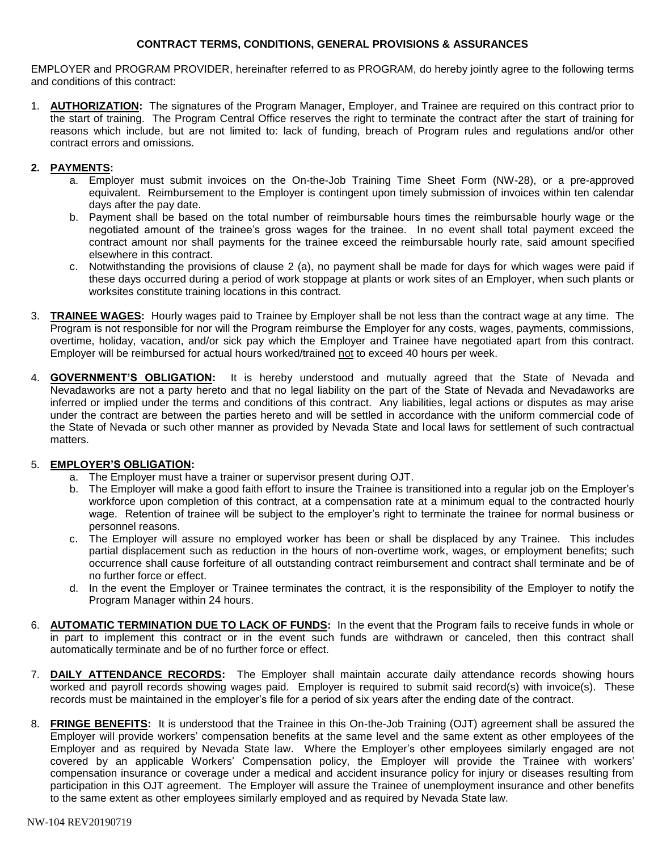#### **CONTRACT TERMS, CONDITIONS, GENERAL PROVISIONS & ASSURANCES**

EMPLOYER and PROGRAM PROVIDER, hereinafter referred to as PROGRAM, do hereby jointly agree to the following terms and conditions of this contract:

1. **AUTHORIZATION:** The signatures of the Program Manager, Employer, and Trainee are required on this contract prior to the start of training. The Program Central Office reserves the right to terminate the contract after the start of training for reasons which include, but are not limited to: lack of funding, breach of Program rules and regulations and/or other contract errors and omissions.

## **2. PAYMENTS:**

- a. Employer must submit invoices on the On-the-Job Training Time Sheet Form (NW-28), or a pre-approved equivalent. Reimbursement to the Employer is contingent upon timely submission of invoices within ten calendar days after the pay date.
- b. Payment shall be based on the total number of reimbursable hours times the reimbursable hourly wage or the negotiated amount of the trainee's gross wages for the trainee. In no event shall total payment exceed the contract amount nor shall payments for the trainee exceed the reimbursable hourly rate, said amount specified elsewhere in this contract.
- c. Notwithstanding the provisions of clause 2 (a), no payment shall be made for days for which wages were paid if these days occurred during a period of work stoppage at plants or work sites of an Employer, when such plants or worksites constitute training locations in this contract.
- 3. **TRAINEE WAGES:** Hourly wages paid to Trainee by Employer shall be not less than the contract wage at any time. The Program is not responsible for nor will the Program reimburse the Employer for any costs, wages, payments, commissions, overtime, holiday, vacation, and/or sick pay which the Employer and Trainee have negotiated apart from this contract. Employer will be reimbursed for actual hours worked/trained not to exceed 40 hours per week.
- 4. **GOVERNMENT'S OBLIGATION:** It is hereby understood and mutually agreed that the State of Nevada and Nevadaworks are not a party hereto and that no legal liability on the part of the State of Nevada and Nevadaworks are inferred or implied under the terms and conditions of this contract. Any liabilities, legal actions or disputes as may arise under the contract are between the parties hereto and will be settled in accordance with the uniform commercial code of the State of Nevada or such other manner as provided by Nevada State and local laws for settlement of such contractual matters.

## 5. **EMPLOYER'S OBLIGATION:**

- a. The Employer must have a trainer or supervisor present during OJT.
- b. The Employer will make a good faith effort to insure the Trainee is transitioned into a regular job on the Employer's workforce upon completion of this contract, at a compensation rate at a minimum equal to the contracted hourly wage. Retention of trainee will be subject to the employer's right to terminate the trainee for normal business or personnel reasons.
- c. The Employer will assure no employed worker has been or shall be displaced by any Trainee. This includes partial displacement such as reduction in the hours of non-overtime work, wages, or employment benefits; such occurrence shall cause forfeiture of all outstanding contract reimbursement and contract shall terminate and be of no further force or effect.
- d. In the event the Employer or Trainee terminates the contract, it is the responsibility of the Employer to notify the Program Manager within 24 hours.
- 6. **AUTOMATIC TERMINATION DUE TO LACK OF FUNDS:** In the event that the Program fails to receive funds in whole or in part to implement this contract or in the event such funds are withdrawn or canceled, then this contract shall automatically terminate and be of no further force or effect.
- 7. **DAILY ATTENDANCE RECORDS:** The Employer shall maintain accurate daily attendance records showing hours worked and payroll records showing wages paid. Employer is required to submit said record(s) with invoice(s). These records must be maintained in the employer's file for a period of six years after the ending date of the contract.
- 8. **FRINGE BENEFITS:** It is understood that the Trainee in this On-the-Job Training (OJT) agreement shall be assured the Employer will provide workers' compensation benefits at the same level and the same extent as other employees of the Employer and as required by Nevada State law. Where the Employer's other employees similarly engaged are not covered by an applicable Workers' Compensation policy, the Employer will provide the Trainee with workers' compensation insurance or coverage under a medical and accident insurance policy for injury or diseases resulting from participation in this OJT agreement. The Employer will assure the Trainee of unemployment insurance and other benefits to the same extent as other employees similarly employed and as required by Nevada State law.